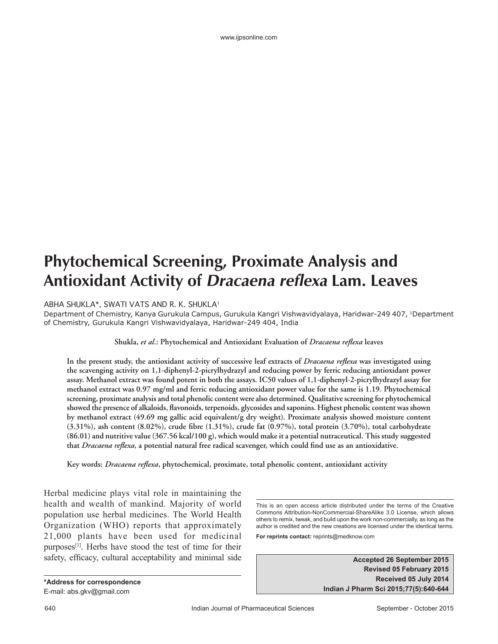# **Phytochemical Screening, Proximate Analysis and Antioxidant Activity of Dracaena reflexa Lam. Leaves**

ABHA SHUKLA\*, SWATI VATS AND R. K. SHUKLA1

Department of Chemistry, Kanya Gurukula Campus, Gurukula Kangri Vishwavidyalaya, Haridwar-249 407, 1Department of Chemistry, Gurukula Kangri Vishwavidyalaya, Haridwar-249 404, India

**Shukla,** *et al***.: Phytochemical and Antioxidant Evaluation of** *Dracaena reflexa* **leaves**

**In the present study, the antioxidant activity of successive leaf extracts of** *Dracaena reflexa* **was investigated using the scavenging activity on 1,1-diphenyl-2-picrylhydrazyl and reducing power by ferric reducing antioxidant power assay. Methanol extract was found potent in both the assays. IC50 values of 1,1-diphenyl-2-picrylhydrazyl assay for methanol extract was 0.97 mg/ml and ferric reducing antioxidant power value for the same is 1.19. Phytochemical screening, proximate analysis and total phenolic content were also determined. Qualitative screening for phytochemical showed the presence of alkaloids, flavonoids, terpenoids, glycosides and saponins. Highest phenolic content was shown by methanol extract (49.69 mg gallic acid equivalent/g dry weight). Proximate analysis showed moisture content (3.31%), ash content (8.02%), crude fibre (1.31%), crude fat (0.97%), total protein (3.70%), total carbohydrate (86.01) and nutritive value (367.56 kcal/100 g), which would make it a potential nutraceutical. This study suggested that** *Dracaena reflexa***, a potential natural free radical scavenger, which could find use as an antioxidative.**

**Key words:** *Dracaena reflexa***, phytochemical, proximate, total phenolic content, antioxidant activity**

Herbal medicine plays vital role in maintaining the health and wealth of mankind. Majority of world population use herbal medicines. The World Health Organization (WHO) reports that approximately 21,000 plants have been used for medicinal purposes<sup>[1]</sup>. Herbs have stood the test of time for their safety, efficacy, cultural acceptability and minimal side

**\*Address for correspondence** E-mail: abs.gkv@gmail.com

This is an open access article distributed under the terms of the Creative Commons Attribution-NonCommercial-ShareAlike 3.0 License, which allows others to remix, tweak, and build upon the work non-commercially, as long as the author is credited and the new creations are licensed under the identical terms. **For reprints contact:** reprints@medknow.com

> **Accepted 26 September 2015 Revised 05 February 2015 Received 05 July 2014 Indian J Pharm Sci 2015;77(5):640-644**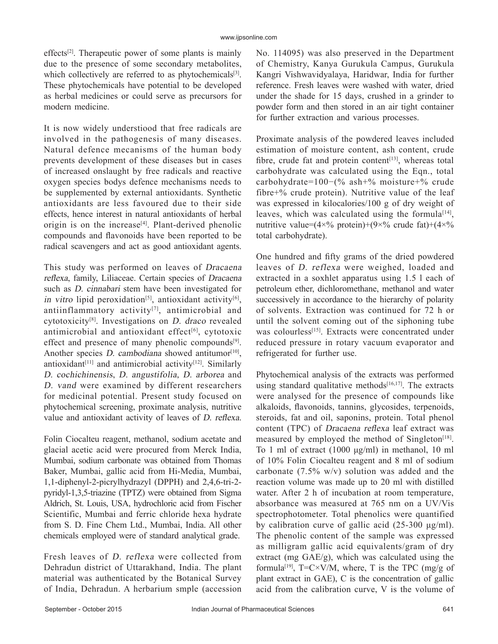effects<sup>[2]</sup>. Therapeutic power of some plants is mainly due to the presence of some secondary metabolites, which collectively are referred to as phytochemicals $[3]$ . These phytochemicals have potential to be developed as herbal medicines or could serve as precursors for modern medicine.

It is now widely understiood that free radicals are involved in the pathogenesis of many diseases. Natural defence mecanisms of the human body prevents development of these diseases but in cases of increased onslaught by free radicals and reactive oxygen species bodys defence mechanisms needs to be supplemented by external antioxidants. Synthetic antioxidants are less favoured due to their side effects, hence interest in natural antioxidants of herbal origin is on the increase<sup>[4]</sup>. Plant-derived phenolic compounds and flavonoids have been reported to be radical scavengers and act as good antioxidant agents.

This study was performed on leaves of Dracaena reflexa, family, Liliaceae. Certain species of Dracaena such as D. cinnabari stem have been investigated for in vitro lipid peroxidation<sup>[5]</sup>, antioxidant activity<sup>[6]</sup>, antiinflammatory activity<sup>[7]</sup>, antimicrobial and cytotoxicity[8]. Investigations on D. draco revealed antimicrobial and antioxidant effect $[6]$ , cytotoxic effect and presence of many phenolic compounds<sup>[9]</sup>. Another species  $D$ . cambodiana showed antitumor $[10]$ , antioxidant<sup>[11]</sup> and antimicrobial activity<sup>[12]</sup>. Similarly D. cochichinensis, D. angustifolia, D. arborea and D. vand were examined by different researchers for medicinal potential. Present study focused on phytochemical screening, proximate analysis, nutritive value and antioxidant activity of leaves of D. reflexa.

Folin Ciocalteu reagent, methanol, sodium acetate and glacial acetic acid were procured from Merck India, Mumbai, sodium carbonate was obtained from Thomas Baker, Mumbai, gallic acid from Hi-Media, Mumbai, 1,1-diphenyl-2-picrylhydrazyl (DPPH) and 2,4,6-tri-2pyridyl-1,3,5-triazine (TPTZ) were obtained from Sigma Aldrich, St. Louis, USA, hydrochloric acid from Fischer Scientific, Mumbai and ferric chloride hexa hydrate from S. D. Fine Chem Ltd., Mumbai, India. All other chemicals employed were of standard analytical grade.

Fresh leaves of D. reflexa were collected from Dehradun district of Uttarakhand, India. The plant material was authenticated by the Botanical Survey of India, Dehradun. A herbarium smple (accession No. 114095) was also preserved in the Department of Chemistry, Kanya Gurukula Campus, Gurukula Kangri Vishwavidyalaya, Haridwar, India for further reference. Fresh leaves were washed with water, dried under the shade for 15 days, crushed in a grinder to powder form and then stored in an air tight container for further extraction and various processes.

Proximate analysis of the powdered leaves included estimation of moisture content, ash content, crude fibre, crude fat and protein content<sup>[13]</sup>, whereas total carbohydrate was calculated using the Eqn., total carbohydrate=100−(% ash+% moisture+% crude fibre+% crude protein). Nutritive value of the leaf was expressed in kilocalories/100 g of dry weight of leaves, which was calculated using the formula<sup>[14]</sup>, nutritive value= $(4 \times \%)$  protein)+ $(9 \times \%)$  crude fat)+ $(4 \times \%)$ total carbohydrate).

One hundred and fifty grams of the dried powdered leaves of D. reflexa were weighed, loaded and extracted in a soxhlet apparatus using 1.5 l each of petroleum ether, dichloromethane, methanol and water successively in accordance to the hierarchy of polarity of solvents. Extraction was continued for 72 h or until the solvent coming out of the siphoning tube was colourless<sup>[15]</sup>. Extracts were concentrated under reduced pressure in rotary vacuum evaporator and refrigerated for further use.

Phytochemical analysis of the extracts was performed using standard qualitative methods $[16,17]$ . The extracts were analysed for the presence of compounds like alkaloids, flavonoids, tannins, glycosides, terpenoids, steroids, fat and oil, saponins, protein. Total phenol content (TPC) of Dracaena reflexa leaf extract was measured by employed the method of Singleton<sup>[18]</sup>. To 1 ml of extract (1000 μg/ml) in methanol, 10 ml of 10% Folin Ciocalteu reagent and 8 ml of sodium carbonate (7.5% w/v) solution was added and the reaction volume was made up to 20 ml with distilled water. After 2 h of incubation at room temperature, absorbance was measured at 765 nm on a UV/Vis spectrophotometer. Total phenolics were quantified by calibration curve of gallic acid (25-300 μg/ml). The phenolic content of the sample was expressed as milligram gallic acid equivalents/gram of dry extract (mg GAE/g), which was calculated using the formula<sup>[19]</sup>, T=C×V/M, where, T is the TPC (mg/g of plant extract in GAE), C is the concentration of gallic acid from the calibration curve, V is the volume of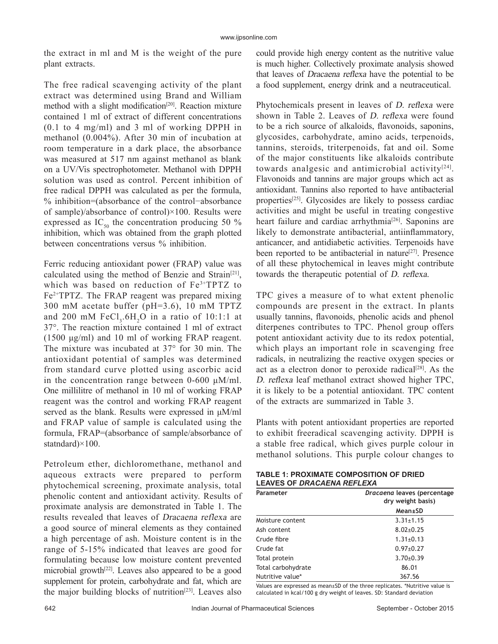the extract in ml and M is the weight of the pure plant extracts.

The free radical scavenging activity of the plant extract was determined using Brand and William method with a slight modification<sup>[20]</sup>. Reaction mixture contained 1 ml of extract of different concentrations (0.1 to 4 mg/ml) and 3 ml of working DPPH in methanol (0.004%). After 30 min of incubation at room temperature in a dark place, the absorbance was measured at 517 nm against methanol as blank on a UV/Vis spectrophotometer. Methanol with DPPH solution was used as control. Percent inhibition of free radical DPPH was calculated as per the formula, % inhibition=(absorbance of the control−absorbance of sample)/absorbance of control)×100. Results were expressed as  $IC_{50}$  the concentration producing 50 % inhibition, which was obtained from the graph plotted between concentrations versus % inhibition.

Ferric reducing antioxidant power (FRAP) value was calculated using the method of Benzie and Strain[21], which was based on reduction of Fe<sup>3+</sup>TPTZ to Fe<sup>2+</sup>TPTZ. The FRAP reagent was prepared mixing 300 mM acetate buffer (pH=3.6), 10 mM TPTZ and 200 mM  $FeCl<sub>3</sub>$ .6H<sub>2</sub>O in a ratio of 10:1:1 at 37°. The reaction mixture contained 1 ml of extract (1500 μg/ml) and 10 ml of working FRAP reagent. The mixture was incubated at 37° for 30 min. The antioxidant potential of samples was determined from standard curve plotted using ascorbic acid in the concentration range between 0-600 μM/ml. One millilitre of methanol in 10 ml of working FRAP reagent was the control and working FRAP reagent served as the blank. Results were expressed in μM/ml and FRAP value of sample is calculated using the formula, FRAP=(absorbance of sample/absorbance of statndard)×100.

Petroleum ether, dichloromethane, methanol and aqueous extracts were prepared to perform phytochemical screening, proximate analysis, total phenolic content and antioxidant activity. Results of proximate analysis are demonstrated in Table 1. The results revealed that leaves of Dracaena reflexa are a good source of mineral elements as they contained a high percentage of ash. Moisture content is in the range of 5-15% indicated that leaves are good for formulating because low moisture content prevented microbial growth[22]. Leaves also appeared to be a good supplement for protein, carbohydrate and fat, which are the major building blocks of nutrition<sup>[23]</sup>. Leaves also

could provide high energy content as the nutritive value is much higher. Collectively proximate analysis showed that leaves of Dracaena reflexa have the potential to be a food supplement, energy drink and a neutraceutical.

Phytochemicals present in leaves of D. reflexa were shown in Table 2. Leaves of D. reflexa were found to be a rich source of alkaloids, flavonoids, saponins, glycosides, carbohydrate, amino acids, terpenoids, tannins, steroids, triterpenoids, fat and oil. Some of the major constituents like alkaloids contribute towards analgesic and antimicrobial activity<sup>[24]</sup>. Flavonoids and tannins are major groups which act as antioxidant. Tannins also reported to have antibacterial properties[25]. Glycosides are likely to possess cardiac activities and might be useful in treating congestive heart failure and cardiac arrhythmia<sup>[26]</sup>. Saponins are likely to demonstrate antibacterial, antiinflammatory, anticancer, and antidiabetic activities. Terpenoids have been reported to be antibacterial in nature<sup>[27]</sup>. Presence of all these phytochemical in leaves might contribute towards the therapeutic potential of D. reflexa.

TPC gives a measure of to what extent phenolic compounds are present in the extract. In plants usually tannins, flavonoids, phenolic acids and phenol diterpenes contributes to TPC. Phenol group offers potent antioxidant activity due to its redox potential, which plays an important role in scavenging free radicals, in neutralizing the reactive oxygen species or act as a electron donor to peroxide radical $[28]$ . As the D. reflexa leaf methanol extract showed higher TPC, it is likely to be a potential antioxidant. TPC content of the extracts are summarized in Table 3.

Plants with potent antioxidant properties are reported to exhibit freeradical scavenging activity. DPPH is a stable free radical, which gives purple colour in methanol solutions. This purple colour changes to

| <b>TABLE 1: PROXIMATE COMPOSITION OF DRIED</b> |
|------------------------------------------------|
| <b>LEAVES OF DRACAENA REFLEXA</b>              |

| Parameter          | Dracaena leaves (percentage<br>dry weight basis) |  |
|--------------------|--------------------------------------------------|--|
|                    | Mean±SD                                          |  |
| Moisture content   | $3.31 \pm 1.15$                                  |  |
| Ash content        | $8.02 + 0.25$                                    |  |
| Crude fibre        | $1.31 \pm 0.13$                                  |  |
| Crude fat          | $0.97 + 0.27$                                    |  |
| Total protein      | $3.70+0.39$                                      |  |
| Total carbohydrate | 86.01                                            |  |
| Nutritive value*   | 367.56                                           |  |

Values are expressed as mean±SD of the three replicates. \*Nutritive value is calculated in kcal/100 g dry weight of leaves. SD: Standard deviation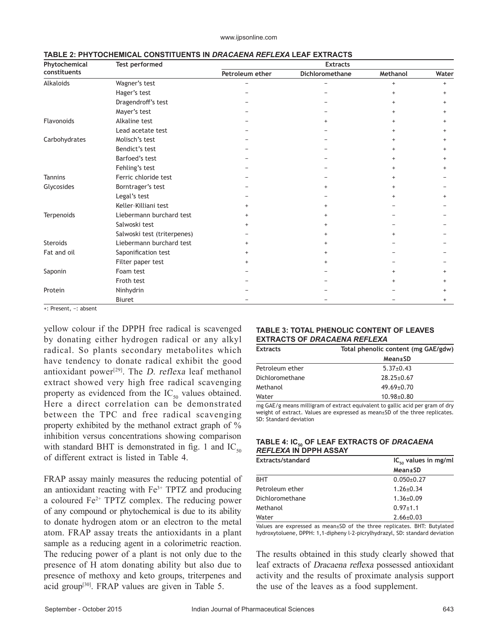| Phytochemical<br>constituents | Test performed              | <b>Extracts</b> |                 |           |           |
|-------------------------------|-----------------------------|-----------------|-----------------|-----------|-----------|
|                               |                             | Petroleum ether | Dichloromethane | Methanol  | Water     |
| Alkaloids                     | Wagner's test               |                 |                 | $+$       | $\ddot{}$ |
|                               | Hager's test                |                 |                 |           |           |
|                               | Dragendroff's test          |                 |                 |           | $\ddot{}$ |
|                               | Mayer's test                |                 |                 |           | $\ddot{}$ |
| Flavonoids                    | Alkaline test               |                 | $\ddot{}$       |           | $\ddot{}$ |
|                               | Lead acetate test           |                 |                 |           | $\ddot{}$ |
| Carbohydrates                 | Molisch's test              |                 |                 |           | $^+$      |
|                               | Bendict's test              |                 |                 |           |           |
|                               | Barfoed's test              |                 |                 |           | $^+$      |
|                               | Fehling's test              |                 |                 |           |           |
| <b>Tannins</b>                | Ferric chloride test        |                 |                 |           |           |
| Glycosides                    | Borntrager's test           |                 | $\ddot{}$       |           |           |
|                               | Legal's test                |                 |                 |           | $\ddot{}$ |
|                               | Keller-Killiani test        | $\ddot{}$       |                 |           |           |
| Terpenoids                    | Liebermann burchard test    | $\ddot{}$       |                 |           |           |
|                               | Salwoski test               | $\ddot{}$       |                 |           |           |
|                               | Salwoski test (triterpenes) |                 |                 |           |           |
| <b>Steroids</b>               | Liebermann burchard test    | $\ddot{}$       |                 |           |           |
| Fat and oil                   | Saponification test         | $^{+}$          | $\ddot{}$       |           |           |
|                               | Filter paper test           | $\ddot{}$       | $+$             |           |           |
| Saponin                       | Foam test                   |                 |                 | $\ddot{}$ |           |
|                               | Froth test                  |                 |                 |           | $\ddot{}$ |
| Protein                       | Ninhydrin                   |                 |                 |           |           |
|                               | <b>Biuret</b>               |                 |                 |           | $^{+}$    |

### **TABLE 2: PHYTOCHEMICAL CONSTITUENTS IN** *DRACAENA REFLEXA* **LEAF EXTRACTS**

+: Present, −: absent

yellow colour if the DPPH free radical is scavenged by donating either hydrogen radical or any alkyl radical. So plants secondary metabolites which have tendency to donate radical exhibit the good antioxidant power<sup>[29]</sup>. The *D. reflexa* leaf methanol extract showed very high free radical scavenging property as evidenced from the  $IC_{50}$  values obtained. Here a direct correlation can be demonstrated between the TPC and free radical scavenging property exhibited by the methanol extract graph of % inhibition versus concentrations showing comparison with standard BHT is demonstrated in fig. 1 and  $IC_{50}$ of different extract is listed in Table 4.

FRAP assay mainly measures the reducing potential of an antioxidant reacting with  $Fe<sup>3+</sup> TPTZ$  and producing a coloured  $Fe<sup>2+</sup> TPTZ$  complex. The reducing power of any compound or phytochemical is due to its ability to donate hydrogen atom or an electron to the metal atom. FRAP assay treats the antioxidants in a plant sample as a reducing agent in a colorimetric reaction. The reducing power of a plant is not only due to the presence of H atom donating ability but also due to presence of methoxy and keto groups, triterpenes and acid group[30]. FRAP values are given in Table 5.

## **TABLE 3: TOTAL PHENOLIC CONTENT OF LEAVES EXTRACTS OF** *DRACAENA REFLEXA*

| <b>Extracts</b> | Total phenolic content (mg GAE/gdw) |  |
|-----------------|-------------------------------------|--|
|                 | Mean±SD                             |  |
| Petroleum ether | $5.37+0.43$                         |  |
| Dichloromethane | $28.25 \pm 0.67$                    |  |
| Methanol        | $49.69 \pm 0.70$                    |  |
| Water           | $10.98 \pm 0.80$                    |  |
|                 |                                     |  |

mg GAE/g means milligram of extract equivalent to gallic acid per gram of dry weight of extract. Values are expressed as mean±SD of the three replicates. SD: Standard deviation

## **TABLE 4: IC50 OF LEAF EXTRACTS OF** *DRACAENA REFLEXA* **IN DPPH ASSAY**

| Extracts/standard | $IC_{so}$ values in mg/ml |  |  |
|-------------------|---------------------------|--|--|
|                   | Mean±SD                   |  |  |
| <b>BHT</b>        | $0.050+0.27$              |  |  |
| Petroleum ether   | $1.26 \pm 0.34$           |  |  |
| Dichloromethane   | $1.36 \pm 0.09$           |  |  |
| Methanol          | $0.97 + 1.1$              |  |  |
| Water             | $2.66 \pm 0.03$           |  |  |

Values are expressed as mean±SD of the three replicates. BHT: Butylated hydroxytoluene, DPPH: 1,1-dipheny l-2-picrylhydrazyl, SD: standard deviation

The results obtained in this study clearly showed that leaf extracts of Dracaena reflexa possessed antioxidant activity and the results of proximate analysis support the use of the leaves as a food supplement.